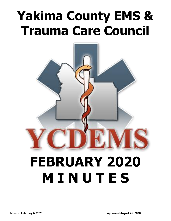# **Yakima County EMS & Trauma Care Council**



# **FEBRUARY 2020 M I N U T E S**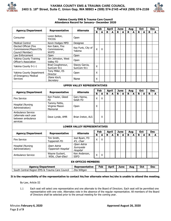



#### **Yakima County EMS & Trauma Care Council Attendance Record for January– December 2020**

|                                                                                   |                                                 |                                      |                    | Feb                |   | <b>April</b> |             | <b>June</b> |   | Aug          |    | Oct        |   | <b>Dec</b> |
|-----------------------------------------------------------------------------------|-------------------------------------------------|--------------------------------------|--------------------|--------------------|---|--------------|-------------|-------------|---|--------------|----|------------|---|------------|
| <b>Agency/Department</b>                                                          | <b>Representative</b>                           | <b>Alternate</b>                     | R                  | A                  | R | A            | R           | A           | R | A            | R  | A          | R | A          |
| Consumer                                                                          | Loren Belton,<br><b>YVCOG</b>                   | Open                                 |                    |                    |   |              |             |             |   |              |    |            |   |            |
| <b>Medical Control</b>                                                            | Kevin Hodges MPD                                | Designee                             |                    |                    |   |              |             |             |   |              |    |            |   |            |
| Elected Official (Fire<br>Commissioner/Mayor/City<br>Council Member)              | Ken Eakin, Fire<br>Commissioner,<br><b>WVFD</b> | Kay Funk, City of<br>Yakima          | X                  | X                  |   |              |             |             |   |              |    |            |   |            |
| Law Enforcement                                                                   | Open                                            | Open                                 |                    |                    |   |              |             |             |   |              |    |            |   |            |
| <b>Yakima County Training</b><br>Officer's Association                            | Jim Johnston, West<br>Valley FD                 | Open                                 |                    |                    |   |              |             |             |   |              |    |            |   |            |
| Yakima County 9-1-1                                                               | Brad Coughenour,<br>SunCom 911                  | Stacey Garcia,<br>SunCom 911         | X                  |                    |   |              |             |             |   |              |    |            |   |            |
| Yakima County Department<br>of Emergency Medical                                  | Tony Miller, ES<br>Director                     | Open                                 | X                  |                    |   |              |             |             |   |              |    |            |   |            |
| <b>Services</b>                                                                   | Diane Koch,<br>Secretary                        | None                                 | $\pmb{\mathsf{X}}$ |                    |   |              |             |             |   |              |    |            |   |            |
| <b>UPPER VALLEY REPRESENTATIVES</b>                                               |                                                 |                                      |                    |                    |   |              |             |             |   |              |    |            |   |            |
| <b>Agency/Department</b>                                                          | Representative                                  | <b>Alternate</b>                     |                    | Feb                |   | <b>April</b> | <b>June</b> |             |   | Aug          |    | <b>Oct</b> |   | <b>Dec</b> |
|                                                                                   |                                                 |                                      | R                  | A                  | R | A            | R           | A           | R | A            | R. | A          | R | A          |
| <b>Fire Service</b>                                                               | Ken Frazier, Gleed<br><b>FD</b>                 | Gary Hanna,<br>Selah FD              | X                  | X                  |   |              |             |             |   |              |    |            |   |            |
| Hospital (Nursing<br>Administration)                                              | Tammy Pettis,<br>Virginia Mason<br>Memorial     | Open                                 | X                  |                    |   |              |             |             |   |              |    |            |   |            |
| <b>Ambulance Service</b><br>(alternate each year<br>between ambulance<br>services | Dave Lynde, AMR                                 | Brian Ireton, ALS                    |                    | X                  |   |              |             |             |   |              |    |            |   |            |
|                                                                                   |                                                 | <b>LOWER VALLEY REPRESENTATIVES</b>  |                    |                    |   |              |             |             |   |              |    |            |   |            |
| <b>Agency/Department</b>                                                          | Representative                                  | <b>Alternate</b>                     |                    | Feb                |   | <b>April</b> | <b>June</b> |             |   | Aug          |    | Oct        |   | <b>Dec</b> |
|                                                                                   |                                                 |                                      | R                  | A                  | R | A            | R           | A           | R | $\mathbf{A}$ | R  | A          | R | A          |
| <b>Fire Service</b>                                                               | Tim Smith,<br>Toppenish FD                      | Joel Byam, FD<br>#5, Chair           | $\overline{X}$     | $\pmb{\mathsf{X}}$ |   |              |             |             |   |              |    |            |   |            |
| Hospital (Nursing<br>Administration)                                              | Open Astria<br>Toppenish Hospital               | Open Astria<br>Sunnyside<br>Hospital |                    |                    |   |              |             |             |   |              |    |            |   |            |
| Ambulance Service                                                                 | Wayne Guckert,<br>WSA, Chair-Elect              | Ken Anderson,<br><b>SSFD</b>         | X                  | X                  |   |              |             |             |   |              |    |            |   |            |
| <b>EX-OFFICIO MEMBERS</b>                                                         |                                                 |                                      |                    |                    |   |              |             |             |   |              |    |            |   |            |
| <b>Agency/Department</b>                                                          |                                                 | Representative                       |                    | Feb                |   | <b>April</b> |             | <b>June</b> |   | Aug          |    | Oct        |   | <b>Dec</b> |
| South Central Region EMS & Trauma Care Council                                    |                                                 | Zita Wiltgen                         |                    |                    |   |              |             |             |   |              |    |            |   |            |

**It is the responsibility of the representative to contact his/her alternate when he/she is unable to attend the meeting.**

By-Law, Article III

1.1 Each seat will select one representative and one alternate to the Board of Directors. Each seat will be permitted one representative with one vote. Alternates vote in the absence of the regular representative. All members of the Board of Directors shall be selected prior to the annual meeting for the coming year.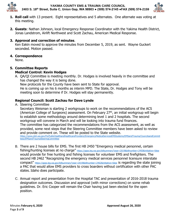

**YAKIMA COUNTY EMS & TRAUMA CARE COUNCIL 2403 S. 18th Street, Suite C, Union Gap, WA 98903 ● (509) 574-2145 ●FAX (509) 574-2159**



- **1. Roll call** with 13 present. Eight representatives and 5 alternates. One alternate was voting at this meeting.
- **2. Guests**: Nathan Johnson, local Emergency Response Coordinator with the Yakima Health District, Jonas Landstrom, Airlift Northwest and Scott Zachau, American Medical Response.

# **3. Approval and correction of minutes**.

Ken Eakin moved to approve the minutes from December 5, 2019, as sent. Wayne Guckert seconded. Motion passed.

# **4. Correspondence**

None.

# **5. Committee Reports Medical Control: Kevin Hodges**

A. QA/QI Committee is meeting monthly. Dr. Hodges is involved heavily in the committee and has changed the way it is being done.

New protocols for the County have been sent to State for approval.

He is coming up on his 6 months as interim MPD. The State, Dr. Hodges and Tony will be meeting soon to determine if Dr. Hodges will stay permanently.

# **Regional Council: Scott Zachau for Dave Lynde**

A. Steering Committee

Secretary Weisman is starting 2 workgroups to work on the recommendations of the ACS (American College of Surgeons) assessment. On February  $27<sup>th</sup>$ , an initial workgroup will begin to establish some methodology around determining level 1 and 2 hospitals. The second workgroup will convene in March and will be looking into trauma fund finances. The committee has categorized the recommendations from the ACS assessment, as well as provided, some next steps that the Steering Committee members have been asked to review and provide comment on. These will be posted to the State website. [https://www.doh.wa.gov/ForPublicHealthandHealthcareProviders/EmergencyMedicalServicesEMSSystems/EMSandTrauma/CouncilsandCommit](https://www.doh.wa.gov/ForPublicHealthandHealthcareProviders/EmergencyMedicalServicesEMSSystems/EMSandTrauma/CouncilsandCommittees/EMSandTraumaSteeringCommittee) [tees/EMSandTraumaSteeringCommittee](https://www.doh.wa.gov/ForPublicHealthandHealthcareProviders/EmergencyMedicalServicesEMSSystems/EMSandTrauma/CouncilsandCommittees/EMSandTraumaSteeringCommittee)

- B. There are 2 house bills for EMS. The first HB 2450 "Emergency medical personnel, certain fishing/hunting licenses at no charge" <https://apps.leg.wa.gov/billsummary?year=2019&billnumber=2450&initiative=false> would provide for free hunting and fishing licenses for volunteer EMS and firefighters. The second HB 2462 "Recognizing the emergency medical services personnel licensure interstate compact" <https://apps.leg.wa.gov/billsummary?year=2019&billnumber=2462&initiative=false> is regarding the state joining a PAC that would allow EMS providers to cross boarders without certification with other PAC states. Idaho does participate.
- C. Annual report and presentation from the Hospital TAC and presentation of 2016-2018 trauma designation outcomes. Discussion and approval (with minor corrections) on some rehab guidelines. Dr. Eric Cooper will remain the Chair having just been elected for the open position.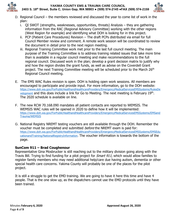

**YAKIMA COUNTY EMS & TRAUMA CARE COUNCIL 2403 S. 18th Street, Suite C, Union Gap, WA 98903 ● (509) 574-2145 ●FAX (509) 574-2159**



- D. Regional Council the members reviewed and discussed the year to come list of work in the plan:
	- i. QI SWOT (strengths, weaknesses, opportunities, threats) Analysis they are gathering information from the RAC (Regional Advisory Committee) working with the other regions (West Region for example) and identifying what DOH is looking for in this project.
	- ii. PCP (Patient Care Procedures) Revision The draft PCPs distributed via email for full Council Member review and comment. A remote work session will be coordinated to review the document in detail prior to the next region meeting.
	- iii. Regional Training Committee work met prior to the last full council meeting. The main purpose of the Training Committee is to address training related issues that take more time than is available in a regular council meeting and make recommendations to the full regional council. Discussed work in the plan; develop a grant decision matrix to justify why and how the region divides the grant funds, as well as advise on the Coverdell Grant project. The next Training Committee meeting will be scheduled prior to the March 26<sup>th</sup> Regional Council meeting.
- E. The EMS WAC Rules revision is open. DOH is holding open work sessions. All members are encouraged to participate and provide input. For more information, go to the DOH website: [https://www.doh.wa.gov/ForPublicHealthandHealthcareProviders/EmergencyMedicalServicesEMSSystems/RulesDe](https://www.doh.wa.gov/ForPublicHealthandHealthcareProviders/EmergencyMedicalServicesEMSSystems/RulesDevelopment) [velopment](https://www.doh.wa.gov/ForPublicHealthandHealthcareProviders/EmergencyMedicalServicesEMSSystems/RulesDevelopment) and this does include a link for Go to Meeting. The next meeting is February 19<sup>th</sup>. The 2020 schedule is available on line.
- F. The new RCW 70.168.090 mandates all patient contacts are reported to WEMSIS. The WEMSIS WAC rules will be opened in 2020 to define how it will be implemented: [https://www.doh.wa.gov/ForPublicHealthandHealthcareProviders/EmergencyMedicalServicesEMSSystems/EMSand](https://www.doh.wa.gov/ForPublicHealthandHealthcareProviders/EmergencyMedicalServicesEMSSystems/EMSandTrauma/WEMSIS) [Trauma/WEMSIS](https://www.doh.wa.gov/ForPublicHealthandHealthcareProviders/EmergencyMedicalServicesEMSSystems/EMSandTrauma/WEMSIS)
- G. National Registry NREMT testing vouchers are still available through the DOH. Remember the voucher must be completed and submitted *before* the NREMT exam is paid for: [https://www.doh.wa.gov/ForPublicHealthandHealthcareProviders/EmergencyMedicalServicesEMSSystems/EMSEdu](https://www.doh.wa.gov/ForPublicHealthandHealthcareProviders/EmergencyMedicalServicesEMSSystems/EMSEducationandTraining/NationalRegistryInformation) [cationandTraining/NationalRegistryInformation.](https://www.doh.wa.gov/ForPublicHealthandHealthcareProviders/EmergencyMedicalServicesEMSSystems/EMSEducationandTraining/NationalRegistryInformation) The voucher information is towards the bottom of the page.

# **SunCom 911 – Brad Coughenour**

Representative Gina Mosbrucker is still reaching out to the military division going along with the Travis Bill. Trying to find funding for a pilot project for *Smart 911*, which would allow families to register family members who may need additional help/care due having autism, dementia or other special health care concerns. Yakima County will probably be one of the places for the pilot project.

It is still a struggle to get the EMD training. We are going to have it here this time and have 4 people. That is the one slow up, as the dispatchers cannot use the EMD protocols until they have been trained.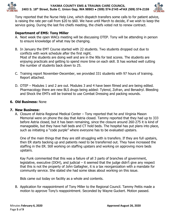



Tony reported that the Nurse Help Line, which dispatch transfers some calls to for patient advice, is raising the rate per-call from \$20 to \$60. We have until March to decide, if we wish to keep the service going. During the last fire chiefs meeting, the chiefs voted not to renew contract.

## **Department of EMS: Tony Miller**

- A. Next week the open WACs meeting will be discussing OTEP. Tony will be attending in person to ensure knowledge of what may be changing.
- B. In January the EMT Course started with 22 students. Two students dropped out due to conflicts with work schedule after the first night. Most of the students are doing well and are in the 90s for test scores. The students are enjoying practicals and getting to spend more time on each skill. It has worked well cutting the number of students back down to 25.
- C. Training report November-December, we provided 331 students with 97 hours of training. Report attached.
- D. OTEP Modules 1 and 2 are out. Modules 3 and 4 have been filmed and are being edited. Pharmacology there are new BLS drugs being added: Tylenol, Zofran, and Benadryl. Bleeding and Shock the EMTs will be trained to use Combat Dressing and packing wounds.

## **6. Old Business:** None

## **7. New Business:**

A. Closure of Astria Regional Medical Center – Tony reported that he and Virginia Mason Memorial were on phone the day that Astria closed. Tammy reported that they had up to 333 before Astria closed, but it has been remaining, since the closure around 260-275 it is kind of manageable, but they have hall beds and CT hold beds. The hospital has put plans into place, such as initiating a "code purple" where everyone has to be evaluated upstairs.

One of the main things that they are still struggling with is transfers. If they are full upstairs, then ER starts backing up and patients need to be transferred out. They have increased the staffing in the ER. Still working on staffing upstairs and working on approving more beds upstairs.

Kay Funk commented that this was a failure of all 3 parts of branches of government, legislative, executive (DOH), and judicial  $-$  it seemed that the judge didn't give any respect that this is not the property of John Gallagher, it is a tax reorganization with a mandate for community service. She stated she had some ideas about working on this issue.

Bids came out today on facility as a whole and contents.

B. Application for reappointment of Tony Miller to the Regional Council. Tammy Pettis made a motion to approve Tony's reappointment. Seconded by Wayne Guckert. Motion passed.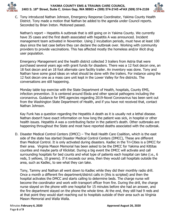



C. Tony introduced Nathan Johnson, Emergency Response Coordinator, Yakima County Health District. Tony made a motion that Nathan be added to the agenda under Council reports. Seconded by Brian Ireton. Motioned passed.

Nathan's report – Hepatitis A outbreak that is still going on in Yakima County. We currently have 35 cases and the first death associated with hepatitis A was announced. Incident management team activated in November. Using 2 incubation periods, must have at least 100 days since the last case before they can declare the outbreak over. Working with community providers to provide vaccinations. This has affected mostly the homeless and/or illicit drug user population.

Emergency Management and the health district collected 3 trailers from Astria that were purchased several years ago with grant funds for disasters. There was a 12 foot decon one, an 18 foot decon and an 18 foot alternate care facility trailer. An inventory was done. Tony and Nathan have some good ideas on what should be done with the trailers. For instance using the 12 foot decon one as a mass care unit kept in the Lower Valley for fire districts. The conversations are still happening.

Monday table top exercise with the State Department of Health, hospitals, County EMS, infection prevention. It is centered around Ebola and other special pathogens including the coronavirus. Guidance for EMS agencies regarding 2019-Novel Coronavirus has been sent out from the Washington State Department of Health, and if you have not received that, contact Nathan Johnson.

Kay Funk has a question regarding the Hepatitis A death as it is usually not a lethal disease. Nathan doesn't have exact information on how long the patient was sick, in hospital or other health issues. Hepatitis A was a contributing factor in the patient's death. Other outbreaks are happening throughout the State and most have reported deaths associated with the outbreak.

D. Disaster Medical Control Centers (DMCC) – The Redi Health Care Coalition, which is the east side of the state has started Disaster Medical Control Centers (DMCC), These are different than Medical Control. It is only activated during disasters. Kadlec in the Tri-Cities is a DMCC for their area. Virginia Mason Memorial has been asked to be the DMCC for Yakima and Kittitas counties and maybe parts of Klickitat. During a big event the DMCC will activate and call surrounding hospitals for bed counts and what type of patients each hospital can take (i.e., 6 reds, 5 yellows, 10 greens). If it exceeds our area, then they would call hospitals outside the area, such as Kadlec, to see what they can take.

Tony, Tammy and Nathan all went down to Kadlec while they did their monthly radio drill. Once a month a different fire department/district calls in (this is scripted) and then the hospital activates the DMCC and starts calling to determine beds. The charge nurse will become the coordinator and work with transport officer from fire. During the drill, the charge nurse stayed on the phone with one hospital for 15 minutes before she had an answer, and the fire department stayed on the phone the whole time. At the end, they still had 9 reds and at that point they would start reaching out to hospitals outside of their area such as Virginia Mason Memorial and Walla Walla.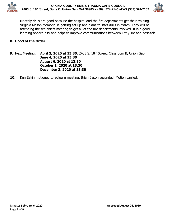



Monthly drills are good because the hospital and the fire departments get their training. Virginia Mason Memorial is getting set up and plans to start drills in March. Tony will be attending the fire chiefs meeting to get all of the fire departments involved. It is a good learning opportunity and helps to improve communications between EMS/Fire and hospitals.

# **8. Good of the Order**

- **9.** Next Meeting: **April 2, 2020 at 13:30,** 2403 S. 18<sup>th</sup> Street, Classroom B, Union Gap **June 4, 2020 at 13:30 August 6, 2020 at 13:30 October 1, 2020 at 13:30 December 3, 2020 at 13:30**
- **10.** Ken Eakin motioned to adjourn meeting, Brian Ireton seconded. Motion carried.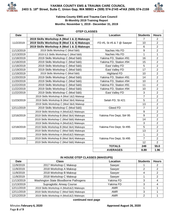



## **Yakima County EMS and Trauma Care Council Bi-Monthly 2019 Training Report Months: November 1, 2019 - December 31, 2019**

#### **OTEP CLASSES**

| <b>Date</b> | <b>Class</b>                               | Location                  | <b>Students</b> | <b>Hours</b>   |
|-------------|--------------------------------------------|---------------------------|-----------------|----------------|
|             | 2019 Skills Workshop A (Mod 1 & 2) Makeups |                           | 7               | 2              |
| 11/2/2019   | 2019 Skills Workshop B (Mod 3 & 4) Makeups | FD #5, St #5 & 7 @ Sawyer | 10              | 2              |
|             | 2019 Skills Workshop A (Mod 1 & 2) Makeups |                           | 6               | $\overline{2}$ |
| 11/13/2019  | 2019 Skills Workshop C (Mod 5&6)           | Naches Hts FD             | 9               | $\overline{2}$ |
| 11/13/2019  | 2019 ILS Skills Workshop C (Mod 5&6)       | Naches Hts FD             | 1               | 1              |
| 11/18/2019  | 2019 Skills Workshop C (Mod 5&6)           | Yakima FD, Station #91    | 16              | $\overline{2}$ |
| 11/18/2019  | 2019 Skills Workshop C (Mod 5&6)           | Yakima FD, Station #94    | 15              | $\overline{2}$ |
| 11/18/2019  | 2019 Skills Workshop C (Mod 5&6)           | East Valley FD            | 5               | $\overline{2}$ |
| 11/19/2019  | 2019 Skills Workshop C (Mod 5&6)           | East Valley FD            | 17              | $\overline{2}$ |
| 11/19/2019  | 2019 Skills Workshop C (Mod 5&6)           | <b>Highland FD</b>        | 10              | $\overline{2}$ |
| 11/20/2019  | 2019 Skills Workshop C (Mod 5&6)           | Yakima FD, Station #91    | 14              | $\overline{2}$ |
| 11/20/2019  | 2019 Skills Workshop C (Mod 5&6)           | Yakima FD, Station #94    | 10              | $\overline{2}$ |
| 11/22/2019  | 2019 Skills Workshop C (Mod 5&6)           | Yakima FD, Station #91    | 11              | $\overline{2}$ |
| 11/22/2019  | 2019 Skills Workshop C (Mod 5&6)           | Yakima FD, Station #94    | 10              | $\overline{2}$ |
| 11/22/2019  | 2019 Skills Workshop C (Mod 5&6)           | East Valley FD            | 3               | $\overline{2}$ |
|             | 2019 Skills Workshop A (Mod 1&2) Makeup    |                           | $\overline{7}$  | $\overline{2}$ |
| 11/23/2019  | 2019 Skills Workshop B (Mod 3&4) Makeup    | Selah FD, St #21          | 5               | $\overline{2}$ |
|             | 2019 Skills Workshop C (Mod 3&4) Makeup    |                           | 13              | 2              |
| 12/11/2019  | 2019 Skills Workshop C (Mod 5&6)           | Gleed FD                  | $\overline{7}$  | 2              |
|             | 2019 Skills Workshop A (Mod1&2) Makeups    |                           | 9               | $\overline{2}$ |
| 12/16/2019  | 2019 Skills Workshop B (Mod 3&4) Makeups   | Yakima Fire Dept, St# 95  | 9               | $\overline{2}$ |
|             | 2019 Skills Workshop C (Mod 5&6) Makeups   |                           | 14              | $\overline{2}$ |
|             | 2019 Skills Workshop A (Mod1&2) Makeups    |                           | 3               | $\overline{2}$ |
| 12/18/2019  | 2019 Skills Workshop B (Mod 3&4) Makeups   | Yakima Fire Dept, St #95  | 5               | $\overline{2}$ |
|             | 2019 Skills Workshop C (Mod 5&6) Makeups   |                           | 13              | $\overline{2}$ |
|             | 2019 Skills Workshop A (Mod1&2) Makeups    |                           | 1               | $\overline{2}$ |
| 12/20/2019  | 2019 Skills Workshop B (Mod 3&4) Makeups   | Yakima Fire Dept, St #95  | $\overline{7}$  | $\overline{2}$ |
|             | 2019 Skills Workshop C (Mod 5&6) Makeups   |                           | 12              | $\overline{2}$ |
|             |                                            | <b>TOTALS</b>             | 249             | 55.0           |
|             |                                            | <b>AVERAGES</b>           | 8.89            | 1.96           |

### **IN HOUSE OTEP CLASSES (MAKEUPS)**

| <b>Date</b> | <b>Class</b>                             | Location   | <b>Students</b> | <b>Hours</b> |
|-------------|------------------------------------------|------------|-----------------|--------------|
| 11/9/2019   | 2017 Workshop C Makeup                   | Sawyer     |                 | 2            |
| 11/9/2019   | 2018 Workshop A Makeup                   | Sawyer     | 2               | 2            |
| 11/9/2019   | 2018 Workshop B Makeup                   | Sawyer     |                 | 2            |
| 11/9/2019   | 2018 Workshop C Makeup                   | Sawyer     |                 | 2            |
| 11/13/2019  | Washington State Bloodborne Pathogens    | Yakima FD  |                 | 4            |
| 11/13/2019  | <b>Supraglottic Airway Course</b>        | Yakima FD  | 3               | 4            |
| 12/11/2019  | 2019 Skills Workshop A (Mod1&2) Makeups  | <b>AMR</b> |                 |              |
| 12/11/2019  | 2019 Skills Workshop C (Mod 5&6) Makeups | <b>AMR</b> | 3               |              |
| 12/12/2019  | 2019 Skills Workshop A (Mod1&2) Makeups  | <b>AMR</b> | ົ               |              |

#### **continued next page**